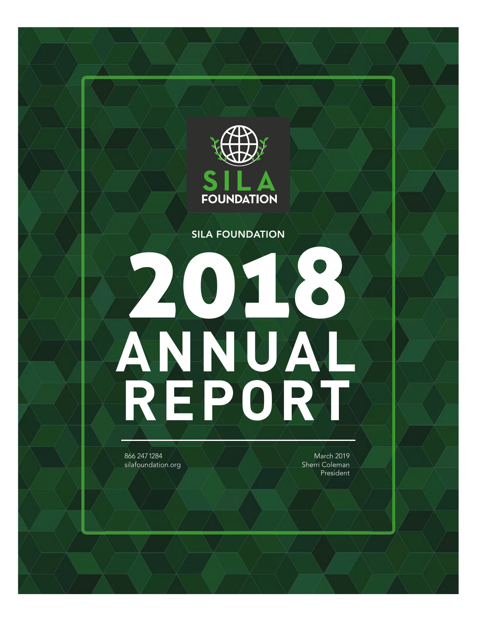

SILA FOUNDATION

# 2018 **ANNUAL REPORT**

866 247 1284 silafoundation.org

March 2019 Sherri Coleman President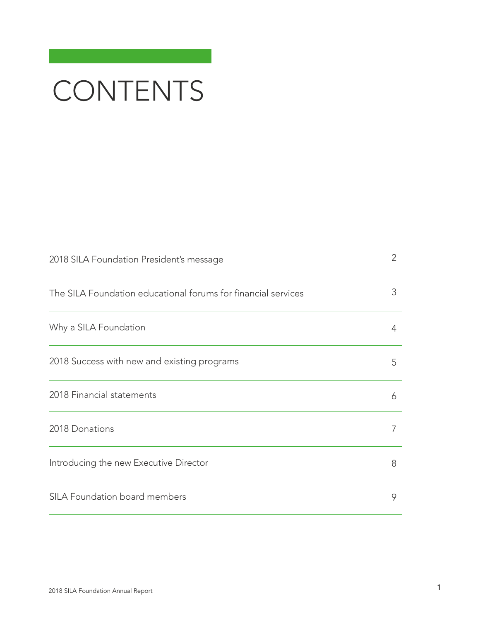# CONTENTS

| 2018 SILA Foundation President's message                      | 2 |
|---------------------------------------------------------------|---|
| The SILA Foundation educational forums for financial services | 3 |
| Why a SILA Foundation                                         | 4 |
| 2018 Success with new and existing programs                   | 5 |
| 2018 Financial statements                                     | 6 |
| 2018 Donations                                                | 7 |
| Introducing the new Executive Director                        | 8 |
| SILA Foundation board members                                 | 9 |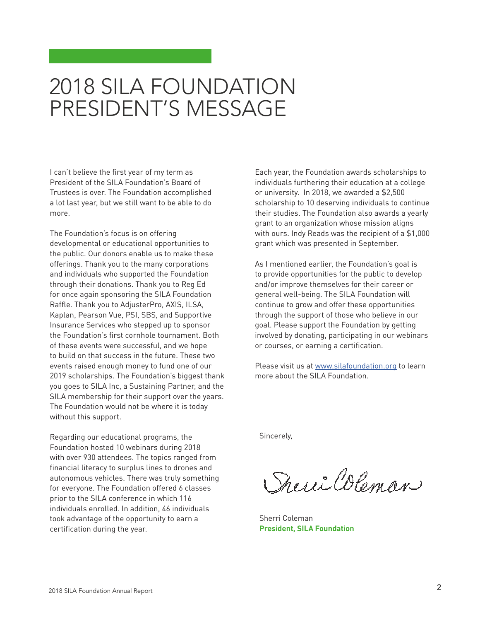# 2018 SILA FOUNDATION PRESIDENT'S MESSAGE

I can't believe the first year of my term as President of the SILA Foundation's Board of Trustees is over. The Foundation accomplished a lot last year, but we still want to be able to do more.

The Foundation's focus is on offering developmental or educational opportunities to the public. Our donors enable us to make these offerings. Thank you to the many corporations and individuals who supported the Foundation through their donations. Thank you to Reg Ed for once again sponsoring the SILA Foundation Raffle. Thank you to AdjusterPro, AXIS, ILSA, Kaplan, Pearson Vue, PSI, SBS, and Supportive Insurance Services who stepped up to sponsor the Foundation's first cornhole tournament. Both of these events were successful, and we hope to build on that success in the future. These two events raised enough money to fund one of our 2019 scholarships. The Foundation's biggest thank you goes to SILA Inc, a Sustaining Partner, and the SILA membership for their support over the years. The Foundation would not be where it is today without this support.

Regarding our educational programs, the Foundation hosted 10 webinars during 2018 with over 930 attendees. The topics ranged from financial literacy to surplus lines to drones and autonomous vehicles. There was truly something for everyone. The Foundation offered 6 classes prior to the SILA conference in which 116 individuals enrolled. In addition, 46 individuals took advantage of the opportunity to earn a certification during the year.

Each year, the Foundation awards scholarships to individuals furthering their education at a college or university. In 2018, we awarded a \$2,500 scholarship to 10 deserving individuals to continue their studies. The Foundation also awards a yearly grant to an organization whose mission aligns with ours. Indy Reads was the recipient of a \$1,000 grant which was presented in September.

As I mentioned earlier, the Foundation's goal is to provide opportunities for the public to develop and/or improve themselves for their career or general well-being. The SILA Foundation will continue to grow and offer these opportunities through the support of those who believe in our goal. Please support the Foundation by getting involved by donating, participating in our webinars or courses, or earning a certification.

Please visit us at [www.silafoundation.org](http://www.silafoundation.org) to learn more about the SILA Foundation.

Sincerely,

Sheric Coleman

Sherri Coleman **President, SILA Foundation**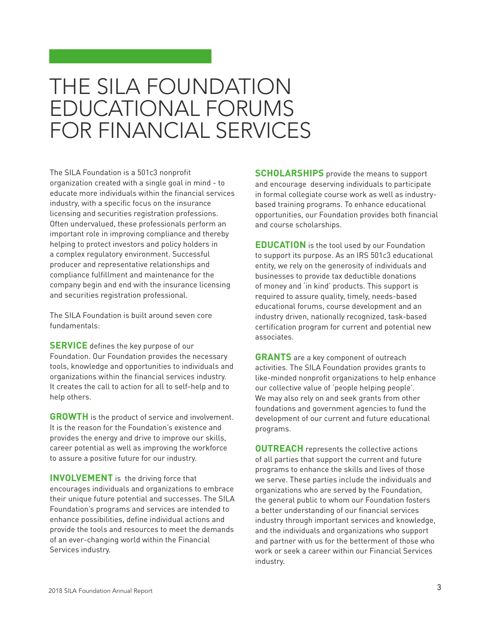# THE SILA FOUNDATION EDUCATIONAL FORUMS FOR FINANCIAL SERVICES

The SILA Foundation is a 501c3 nonprofit organization created with a single goal in mind - to educate more individuals within the financial services industry, with a specific focus on the insurance licensing and securities registration professions. Often undervalued, these professionals perform an important role in improving compliance and thereby helping to protect investors and policy holders in a complex regulatory environment. Successful producer and representative relationships and compliance fulfillment and maintenance for the company begin and end with the insurance licensing and securities registration professional.

The SILA Foundation is built around seven core fundamentals:

**SERVICE** defines the key purpose of our Foundation. Our Foundation provides the necessary tools, knowledge and opportunities to individuals and organizations within the financial services industry. It creates the call to action for all to self-help and to help others.

**GROWTH** is the product of service and involvement. It is the reason for the Foundation's existence and provides the energy and drive to improve our skills, career potential as well as improving the workforce to assure a positive future for our industry.

**INVOLVEMENT** is the driving force that encourages individuals and organizations to embrace their unique future potential and successes. The SILA Foundation's programs and services are intended to enhance possibilities, define individual actions and provide the tools and resources to meet the demands of an ever-changing world within the Financial Services industry.

**SCHOLARSHIPS** provide the means to support and encourage deserving individuals to participate in formal collegiate course work as well as industrybased training programs. To enhance educational opportunities, our Foundation provides both financial and course scholarships.

**EDUCATION** is the tool used by our Foundation to support its purpose. As an IRS 501c3 educational entity, we rely on the generosity of individuals and businesses to provide tax deductible donations of money and 'in kind' products. This support is required to assure quality, timely, needs-based educational forums, course development and an industry driven, nationally recognized, task-based certification program for current and potential new associates.

**GRANTS** are a key component of outreach activities. The SILA Foundation provides grants to like-minded nonprofit organizations to help enhance our collective value of 'people helping people'. We may also rely on and seek grants from other foundations and government agencies to fund the development of our current and future educational programs.

**OUTREACH** represents the collective actions of all parties that support the current and future programs to enhance the skills and lives of those we serve. These parties include the individuals and organizations who are served by the Foundation, the general public to whom our Foundation fosters a better understanding of our financial services industry through important services and knowledge, and the individuals and organizations who support and partner with us for the betterment of those who work or seek a career within our Financial Services industry.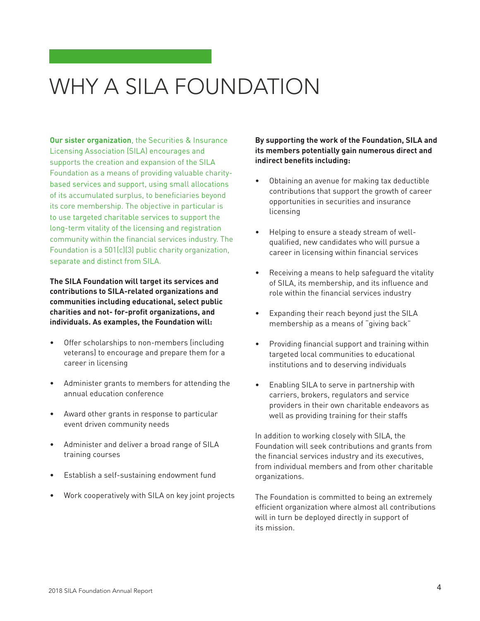# WHY A SILA FOUNDATION

**Our sister organization**, the Securities & Insurance Licensing Association (SILA) encourages and supports the creation and expansion of the SILA Foundation as a means of providing valuable charitybased services and support, using small allocations of its accumulated surplus, to beneficiaries beyond its core membership. The objective in particular is to use targeted charitable services to support the long-term vitality of the licensing and registration community within the financial services industry. The Foundation is a 501(c)(3) public charity organization, separate and distinct from SILA.

**The SILA Foundation will target its services and contributions to SILA-related organizations and communities including educational, select public charities and not- for-profit organizations, and individuals. As examples, the Foundation will:** 

- Offer scholarships to non-members (including veterans) to encourage and prepare them for a career in licensing
- Administer grants to members for attending the annual education conference
- Award other grants in response to particular event driven community needs
- Administer and deliver a broad range of SILA training courses
- Establish a self-sustaining endowment fund
- Work cooperatively with SILA on key joint projects

**By supporting the work of the Foundation, SILA and its members potentially gain numerous direct and indirect benefits including:**

- Obtaining an avenue for making tax deductible contributions that support the growth of career opportunities in securities and insurance licensing
- Helping to ensure a steady stream of wellqualified, new candidates who will pursue a career in licensing within financial services
- Receiving a means to help safeguard the vitality of SILA, its membership, and its influence and role within the financial services industry
- Expanding their reach beyond just the SILA membership as a means of "giving back"
- Providing financial support and training within targeted local communities to educational institutions and to deserving individuals
- Enabling SILA to serve in partnership with carriers, brokers, regulators and service providers in their own charitable endeavors as well as providing training for their staffs

In addition to working closely with SILA, the Foundation will seek contributions and grants from the financial services industry and its executives, from individual members and from other charitable organizations.

The Foundation is committed to being an extremely efficient organization where almost all contributions will in turn be deployed directly in support of its mission.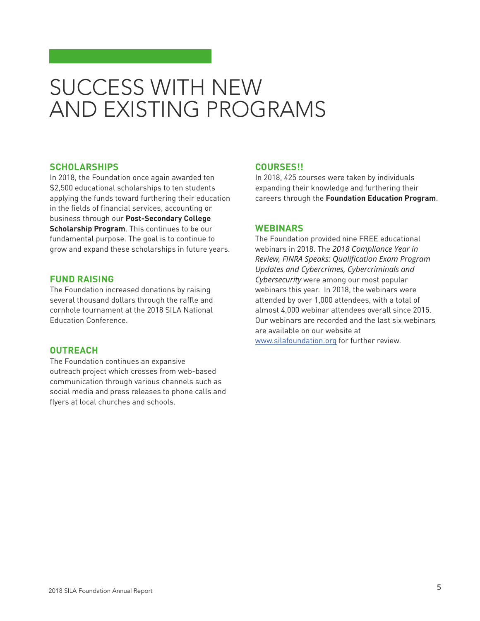# SUCCESS WITH NEW AND EXISTING PROGRAMS

#### **SCHOLARSHIPS**

In 2018, the Foundation once again awarded ten \$2,500 educational scholarships to ten students applying the funds toward furthering their education in the fields of financial services, accounting or business through our **Post-Secondary College Scholarship Program**. This continues to be our fundamental purpose. The goal is to continue to grow and expand these scholarships in future years.

#### **FUND RAISING**

The Foundation increased donations by raising several thousand dollars through the raffle and cornhole tournament at the 2018 SILA National Education Conference.

#### **OUTREACH**

The Foundation continues an expansive outreach project which crosses from web-based communication through various channels such as social media and press releases to phone calls and flyers at local churches and schools.

#### **COURSES!!**

In 2018, 425 courses were taken by individuals expanding their knowledge and furthering their careers through the **Foundation Education Program**.

#### **WEBINARS**

The Foundation provided nine FREE educational webinars in 2018. The *2018 Compliance Year in Review, FINRA Speaks: Qualification Exam Program Updates and Cybercrimes, Cybercriminals and Cybersecurity* were among our most popular webinars this year. In 2018, the webinars were attended by over 1,000 attendees, with a total of almost 4,000 webinar attendees overall since 2015. Our webinars are recorded and the last six webinars are available on our website at [www.silafoundation.org](http://www.silafoundation.org) for further review.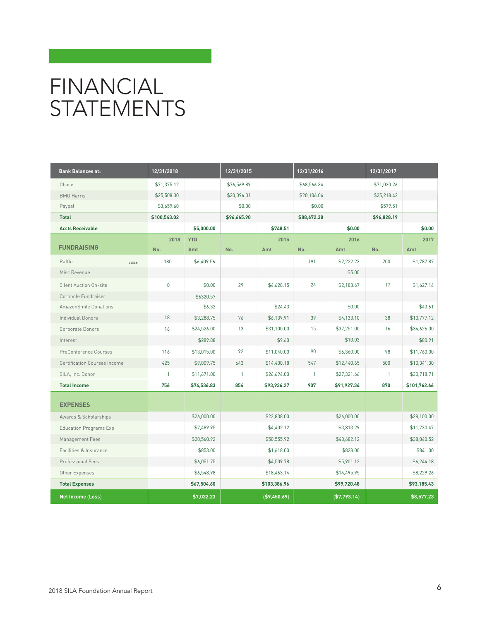# FINANCIAL **STATEMENTS**

| <b>Bank Balances at:</b>            | 12/31/2018<br>12/31/2015 |             |              | 12/31/2016    |              | 12/31/2017   |              |              |
|-------------------------------------|--------------------------|-------------|--------------|---------------|--------------|--------------|--------------|--------------|
| Chase                               | \$71,375.12              |             | \$76,569.89  |               | \$68,566.34  |              | \$71,030.26  |              |
| <b>BMO</b> Harris                   | \$25,508.30              |             | \$20,096.01  |               | \$20,106.04  |              | \$25,218.42  |              |
| Paypal                              | \$3,659.60               |             | \$0.00       |               | \$0.00       |              | \$579.51     |              |
| <b>Total</b>                        | \$100,543.02             |             | \$96,665.90  |               | \$88,672.38  |              | \$96,828.19  |              |
| <b>Accts Receivable</b>             |                          | \$5,000.00  |              | \$748.51      |              | \$0.00       |              | \$0.00       |
| <b>FUNDRAISING</b>                  | 2018                     | <b>YTD</b>  |              | 2015          |              | 2016         |              | 2017         |
|                                     | No.                      | Amt         | No.          | Amt           | No.          | Amt          | No.          | Amt          |
| Raffle<br>3659.6                    | 180                      | \$6,409.56  |              |               | 191          | \$2,222.23   | 200          | \$1,787.87   |
| Misc Revenue                        |                          |             |              |               |              | \$5.00       |              |              |
| Silent Auction On-site              | $\mathbf{0}$             | \$0.00      | 29           | \$4,628.15    | 24           | \$2,183.67   | 17           | \$1,627.14   |
| Cornhole Fundraiser                 |                          | \$6320.57   |              |               |              |              |              |              |
| <b>AmazonSmile Donations</b>        |                          | \$6.32      |              | \$24.43       |              | \$0.00       |              | \$43.61      |
| <b>Individual Donors</b>            | 18                       | \$3,288.75  | 76           | \$6,139.91    | 39           | \$4,133.10   | 38           | \$10,777.12  |
| Corporate Donors                    | 16                       | \$24,526.00 | 13           | \$31,100.00   | 15           | \$37,251.00  | 16           | \$34,626.00  |
| Interest                            |                          | \$289.88    |              | \$9.60        |              | \$10.03      |              | \$80.91      |
| PreConference Courses               | 116                      | \$13,015.00 | 92           | \$11,040.00   | 90           | \$6,360.00   | 98           | \$11,760.00  |
| <b>Certification Courses Income</b> | 425                      | \$9,009.75  | 643          | \$14,400.18   | 547          | \$12,440.65  | 500          | \$10,341.30  |
| SILA, Inc. Donor                    | $\mathbf{1}$             | \$11,671.00 | $\mathbf{1}$ | \$26,694.00   | $\mathbf{1}$ | \$27,321.66  | $\mathbf{1}$ | \$30,718.71  |
| <b>Total Income</b>                 | 756                      | \$74,536.83 | 854          | \$93,936.27   | 907          | \$91,927.34  | 870          | \$101,762.66 |
| <b>EXPENSES</b>                     |                          |             |              |               |              |              |              |              |
| Awards & Scholarships               |                          | \$26,000.00 |              | \$23,838.00   |              | \$26,000.00  |              | \$28,100.00  |
| <b>Education Programs Exp</b>       |                          | \$7,489.95  |              | \$4,402.12    |              | \$3,813.29   |              | \$11,730.47  |
| Management Fees                     |                          | \$20,560.92 |              | \$50,555.92   |              | \$48,682.12  |              | \$38,040.52  |
| Facilities & Insurance              |                          | \$853.00    |              | \$1,618.00    |              | \$828.00     |              | \$841.00     |
| Professional Fees                   |                          | \$6,051.75  |              | \$4,509.78    |              | \$5,901.12   |              | \$6,244.18   |
| Other Expenses                      |                          | \$6,548.98  |              | \$18,463.14   |              | \$14,495.95  |              | \$8,229.26   |
| <b>Total Expenses</b>               |                          | \$67,504.60 |              | \$103,386.96  |              | \$99,720.48  |              | \$93,185.43  |
| Net Income (Loss)                   |                          | \$7,032.23  |              | ( \$9,450.69) |              | (\$7,793.14) |              | \$8,577.23   |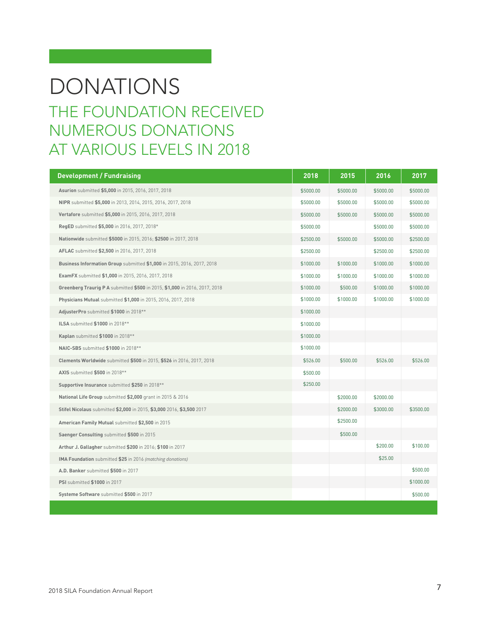### THE FOUNDATION RECEIVED NUMEROUS DONATIONS AT VARIOUS LEVELS IN 2018 DONATIONS

| <b>Development / Fundraising</b>                                           | 2018      | 2015      | 2016      | 2017      |
|----------------------------------------------------------------------------|-----------|-----------|-----------|-----------|
| Asurion submitted \$5,000 in 2015, 2016, 2017, 2018                        | \$5000.00 | \$5000.00 | \$5000.00 | \$5000.00 |
| NIPR submitted \$5,000 in 2013, 2014, 2015, 2016, 2017, 2018               | \$5000.00 | \$5000.00 | \$5000.00 | \$5000.00 |
| Vertafore submitted \$5,000 in 2015, 2016, 2017, 2018                      | \$5000.00 | \$5000.00 | \$5000.00 | \$5000.00 |
| <b>RegED</b> submitted \$5,000 in 2016, 2017, 2018*                        | \$5000.00 |           | \$5000.00 | \$5000.00 |
| Nationwide submitted \$5000 in 2015, 2016; \$2500 in 2017, 2018            | \$2500.00 | \$5000.00 | \$5000.00 | \$2500.00 |
| AFLAC submitted \$2,500 in 2016, 2017, 2018                                | \$2500.00 |           | \$2500.00 | \$2500.00 |
| Business Information Group submitted \$1,000 in 2015, 2016, 2017, 2018     | \$1000.00 | \$1000.00 | \$1000.00 | \$1000.00 |
| ExamFX submitted \$1,000 in 2015, 2016, 2017, 2018                         | \$1000.00 | \$1000.00 | \$1000.00 | \$1000.00 |
| Greenberg Traurig P A submitted \$500 in 2015, \$1,000 in 2016, 2017, 2018 | \$1000.00 | \$500.00  | \$1000.00 | \$1000.00 |
| Physicians Mutual submitted \$1,000 in 2015, 2016, 2017, 2018              | \$1000.00 | \$1000.00 | \$1000.00 | \$1000.00 |
| AdjusterPro submitted \$1000 in 2018**                                     | \$1000.00 |           |           |           |
| <b>ILSA</b> submitted \$1000 in 2018**                                     | \$1000.00 |           |           |           |
| Kaplan submitted \$1000 in 2018**                                          | \$1000.00 |           |           |           |
| NAIC-SBS submitted \$1000 in 2018**                                        | \$1000.00 |           |           |           |
| Clements Worldwide submitted \$500 in 2015, \$526 in 2016, 2017, 2018      | \$526.00  | \$500.00  | \$526.00  | \$526.00  |
| AXIS submitted \$500 in 2018**                                             | \$500.00  |           |           |           |
| Supportive Insurance submitted \$250 in 2018**                             | \$250.00  |           |           |           |
| National Life Group submitted \$2,000 grant in 2015 & 2016                 |           | \$2000.00 | \$2000.00 |           |
| Stifel Nicolaus submitted \$2,000 in 2015, \$3,000 2016, \$3,500 2017      |           | \$2000.00 | \$3000.00 | \$3500.00 |
| American Family Mutual submitted \$2,500 in 2015                           |           | \$2500.00 |           |           |
| Saenger Consulting submitted \$500 in 2015                                 |           | \$500.00  |           |           |
| Arthur J. Gallagher submitted \$200 in 2016; \$100 in 2017                 |           |           | \$200.00  | \$100.00  |
| IMA Foundation submitted \$25 in 2016 (matching donations)                 |           |           | \$25.00   |           |
| A.D. Banker submitted \$500 in 2017                                        |           |           |           | \$500.00  |
| PSI submitted \$1000 in 2017                                               |           |           |           | \$1000.00 |
| Systeme Software submitted \$500 in 2017                                   |           |           |           | \$500.00  |
|                                                                            |           |           |           |           |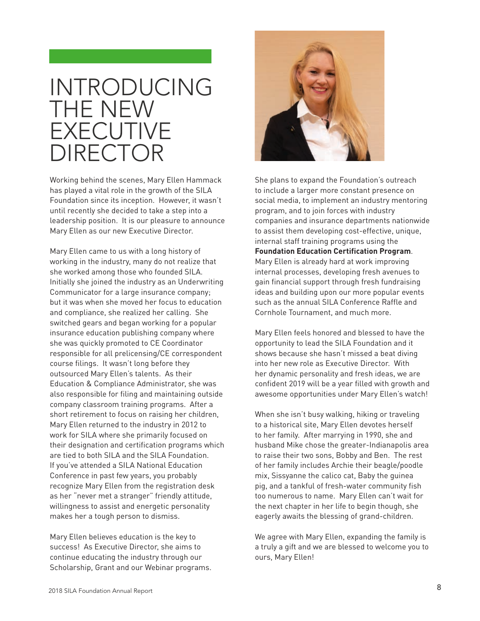# INTRODUCING THE NEW EXECUTIVE DIRECTOR

Working behind the scenes, Mary Ellen Hammack has played a vital role in the growth of the SILA Foundation since its inception. However, it wasn't until recently she decided to take a step into a leadership position. It is our pleasure to announce Mary Ellen as our new Executive Director.

Mary Ellen came to us with a long history of working in the industry, many do not realize that she worked among those who founded SILA. Initially she joined the industry as an Underwriting Communicator for a large insurance company; but it was when she moved her focus to education and compliance, she realized her calling. She switched gears and began working for a popular insurance education publishing company where she was quickly promoted to CE Coordinator responsible for all prelicensing/CE correspondent course filings. It wasn't long before they outsourced Mary Ellen's talents. As their Education & Compliance Administrator, she was also responsible for filing and maintaining outside company classroom training programs. After a short retirement to focus on raising her children, Mary Ellen returned to the industry in 2012 to work for SILA where she primarily focused on their designation and certification programs which are tied to both SILA and the SILA Foundation. If you've attended a SILA National Education Conference in past few years, you probably recognize Mary Ellen from the registration desk as her "never met a stranger" friendly attitude, willingness to assist and energetic personality makes her a tough person to dismiss.

Mary Ellen believes education is the key to success! As Executive Director, she aims to continue educating the industry through our Scholarship, Grant and our Webinar programs.



She plans to expand the Foundation's outreach to include a larger more constant presence on social media, to implement an industry mentoring program, and to join forces with industry companies and insurance departments nationwide to assist them developing cost-effective, unique, internal staff training programs using the **Foundation Education Certification Program**. Mary Ellen is already hard at work improving internal processes, developing fresh avenues to gain financial support through fresh fundraising ideas and building upon our more popular events such as the annual SILA Conference Raffle and Cornhole Tournament, and much more.

Mary Ellen feels honored and blessed to have the opportunity to lead the SILA Foundation and it shows because she hasn't missed a beat diving into her new role as Executive Director. With her dynamic personality and fresh ideas, we are confident 2019 will be a year filled with growth and awesome opportunities under Mary Ellen's watch!

When she isn't busy walking, hiking or traveling to a historical site, Mary Ellen devotes herself to her family. After marrying in 1990, she and husband Mike chose the greater-Indianapolis area to raise their two sons, Bobby and Ben. The rest of her family includes Archie their beagle/poodle mix, Sissyanne the calico cat, Baby the guinea pig, and a tankful of fresh-water community fish too numerous to name. Mary Ellen can't wait for the next chapter in her life to begin though, she eagerly awaits the blessing of grand-children.

We agree with Mary Ellen, expanding the family is a truly a gift and we are blessed to welcome you to ours, Mary Ellen!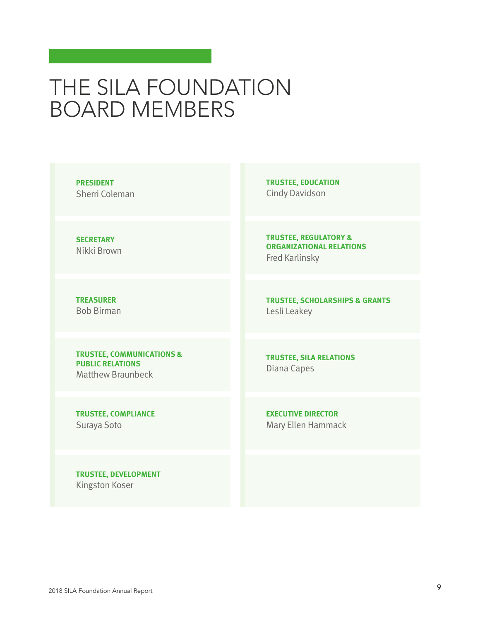# THE SILA FOUNDATION BOARD MEMBERS

**PRESIDENT** Sherri Coleman

**SECRETARY** Nikki Brown

**TREASURER** Bob Birman

#### **TRUSTEE, COMMUNICATIONS & PUBLIC RELATIONS** Matthew Braunbeck

**TRUSTEE, COMPLIANCE** Suraya Soto

**TRUSTEE, DEVELOPMENT** Kingston Koser

**TRUSTEE, EDUCATION** Cindy Davidson

**TRUSTEE, REGULATORY & ORGANIZATIONAL RELATIONS** Fred Karlinsky

**TRUSTEE, SCHOLARSHIPS & GRANTS** Lesli Leakey

**TRUSTEE, SILA RELATIONS** Diana Capes

**EXECUTIVE DIRECTOR** Mary Ellen Hammack